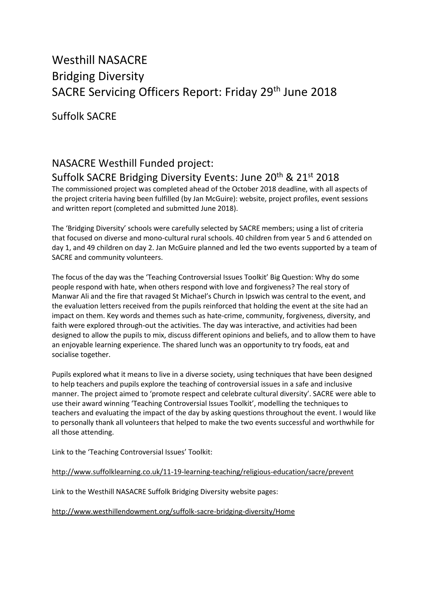## Westhill NASACRE Bridging Diversity SACRE Servicing Officers Report: Friday 29<sup>th</sup> June 2018

Suffolk SACRE

## NASACRE Westhill Funded project: Suffolk SACRE Bridging Diversity Events: June 20<sup>th</sup> & 21<sup>st</sup> 2018

The commissioned project was completed ahead of the October 2018 deadline, with all aspects of the project criteria having been fulfilled (by Jan McGuire): website, project profiles, event sessions and written report (completed and submitted June 2018).

The 'Bridging Diversity' schools were carefully selected by SACRE members; using a list of criteria that focused on diverse and mono-cultural rural schools. 40 children from year 5 and 6 attended on day 1, and 49 children on day 2. Jan McGuire planned and led the two events supported by a team of SACRE and community volunteers.

The focus of the day was the 'Teaching Controversial Issues Toolkit' Big Question: Why do some people respond with hate, when others respond with love and forgiveness? The real story of Manwar Ali and the fire that ravaged St Michael's Church in Ipswich was central to the event, and the evaluation letters received from the pupils reinforced that holding the event at the site had an impact on them. Key words and themes such as hate-crime, community, forgiveness, diversity, and faith were explored through-out the activities. The day was interactive, and activities had been designed to allow the pupils to mix, discuss different opinions and beliefs, and to allow them to have an enjoyable learning experience. The shared lunch was an opportunity to try foods, eat and socialise together.

Pupils explored what it means to live in a diverse society, using techniques that have been designed to help teachers and pupils explore the teaching of controversial issues in a safe and inclusive manner. The project aimed to 'promote respect and celebrate cultural diversity'. SACRE were able to use their award winning 'Teaching Controversial Issues Toolkit', modelling the techniques to teachers and evaluating the impact of the day by asking questions throughout the event. I would like to personally thank all volunteers that helped to make the two events successful and worthwhile for all those attending.

Link to the 'Teaching Controversial Issues' Toolkit:

[http://www.suffolklearning.co.uk/11-19-learning-teaching/religious-education/sacre/prevent](https://emea01.safelinks.protection.outlook.com/?url=http%3A%2F%2Fwww.suffolklearning.co.uk%2F11-19-learning-teaching%2Freligious-education%2Fsacre%2Fprevent&data=01%7C01%7Chelen.matter%40cofesuffolk.org%7Cc0c2da19b55a4c663bcf08d5a6a63e54%7C64990a9c67994442988fcb8b9e9dbb7f%7C0&sdata=OxCrcX2HxyFFoULIYuBmtV83bpeuYc5cIddlE6vOvHg%3D&reserved=0)

Link to the Westhill NASACRE Suffolk Bridging Diversity website pages:

<http://www.westhillendowment.org/suffolk-sacre-bridging-diversity/Home>